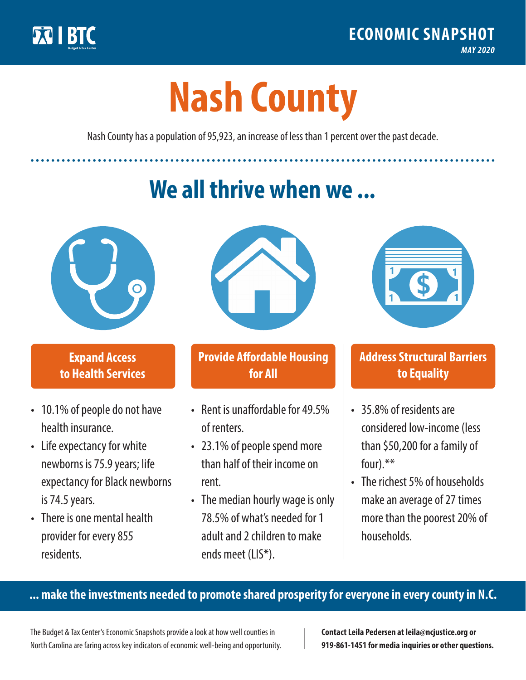

**1**

# **Nash County**

Nash County has a population of 95,923, an increase of less than 1 percent over the past decade.

# **We all thrive when we ...**



**\$ <sup>1</sup>**

**\$ <sup>1</sup>**

## **Expand Access to Health Services**

- 10.1% of people do not have health insurance.
- Life expectancy for white newborns is 75.9 years; life expectancy for Black newborns is 74.5 years.
- There is one mental health provider for every 855 residents.



## **Provide Affordable Housing for All**

- Rent is unaffordable for 49 5% of renters.
- 23.1% of people spend more than half of their income on rent.
- The median hourly wage is only 78.5% of what's needed for 1 adult and 2 children to make ends meet (LIS\*).



## **Address Structural Barriers to Equality**

- 35.8% of residents are considered low-income (less than \$50,200 for a family of four).\*\*
- The richest 5% of households make an average of 27 times more than the poorest 20% of households.

#### **... make the investments needed to promote shared prosperity for everyone in every county in N.C.**

The Budget & Tax Center's Economic Snapshots provide a look at how well counties in North Carolina are faring across key indicators of economic well-being and opportunity.